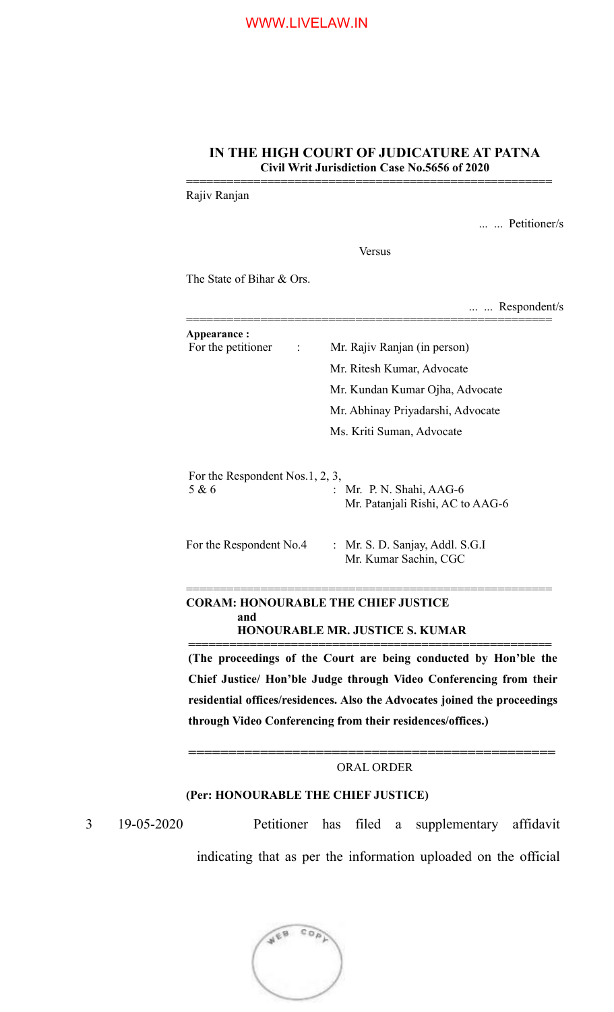## **IN THE HIGH COURT OF JUDICATURE AT PATNA Civil Writ Jurisdiction Case No.5656 of 2020**

======================================================

Rajiv Ranjan

... ... Petitioner/s

Versus

The State of Bihar & Ors.

|                                 | Respondent/s                      |
|---------------------------------|-----------------------------------|
| Appearance:                     |                                   |
| For the petitioner<br>÷         | Mr. Rajiv Ranjan (in person)      |
|                                 | Mr. Ritesh Kumar, Advocate        |
|                                 | Mr. Kundan Kumar Ojha, Advocate   |
|                                 | Mr. Abhinay Priyadarshi, Advocate |
|                                 | Ms. Kriti Suman, Advocate         |
| For the Respondent Nos.1, 2, 3, |                                   |
| 5 & 6                           | : Mr. P. N. Shahi, AAG-6          |
|                                 | Mr. Patanjali Rishi, AC to AAG-6  |

For the Respondent No.4 : Mr. S. D. Sanjay, Addl. S.G.I Mr. Kumar Sachin, CGC

## **CORAM: HONOURABLE THE CHIEF JUSTICE and HONOURABLE MR. JUSTICE S. KUMAR**

**(The proceedings of the Court are being conducted by Hon'ble the Chief Justice/ Hon'ble Judge through Video Conferencing from their residential offices/residences. Also the Advocates joined the proceedings through Video Conferencing from their residences/offices.)**

======================================================

**=====================================================**

## **==============================================** ORAL ORDER

# **(Per: HONOURABLE THE CHIEF JUSTICE)**

3 19-05-2020 Petitioner has filed a supplementary affidavit indicating that as per the information uploaded on the official

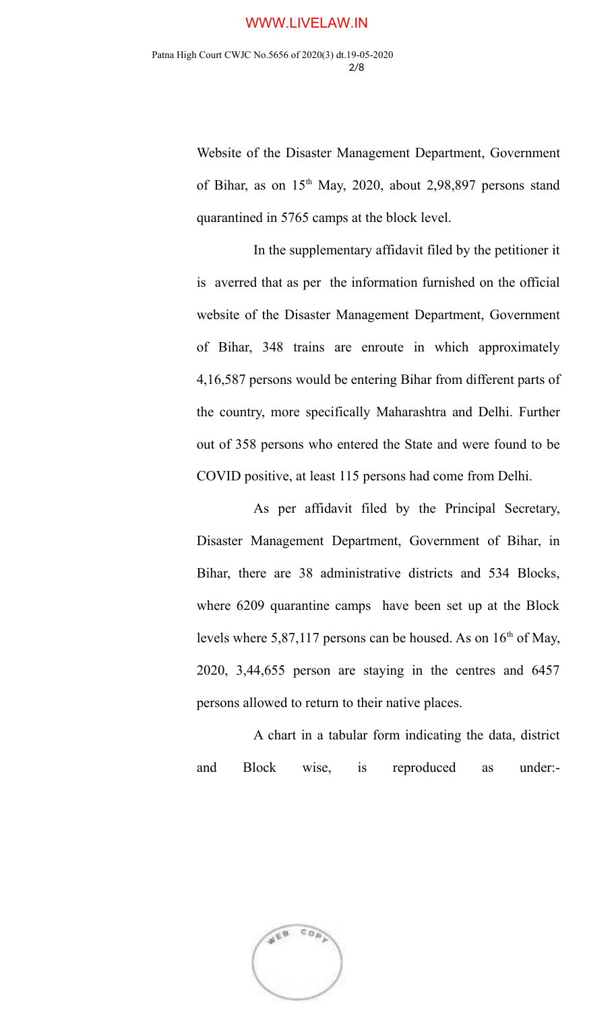Website of the Disaster Management Department, Government of Bihar, as on  $15<sup>th</sup>$  May, 2020, about 2,98,897 persons stand quarantined in 5765 camps at the block level.

In the supplementary affidavit filed by the petitioner it is averred that as per the information furnished on the official website of the Disaster Management Department, Government of Bihar, 348 trains are enroute in which approximately 4,16,587 persons would be entering Bihar from different parts of the country, more specifically Maharashtra and Delhi. Further out of 358 persons who entered the State and were found to be COVID positive, at least 115 persons had come from Delhi.

As per affidavit filed by the Principal Secretary, Disaster Management Department, Government of Bihar, in Bihar, there are 38 administrative districts and 534 Blocks, where 6209 quarantine camps have been set up at the Block levels where 5,87,117 persons can be housed. As on  $16<sup>th</sup>$  of May, 2020, 3,44,655 person are staying in the centres and 6457 persons allowed to return to their native places.

A chart in a tabular form indicating the data, district and Block wise, is reproduced as under:-

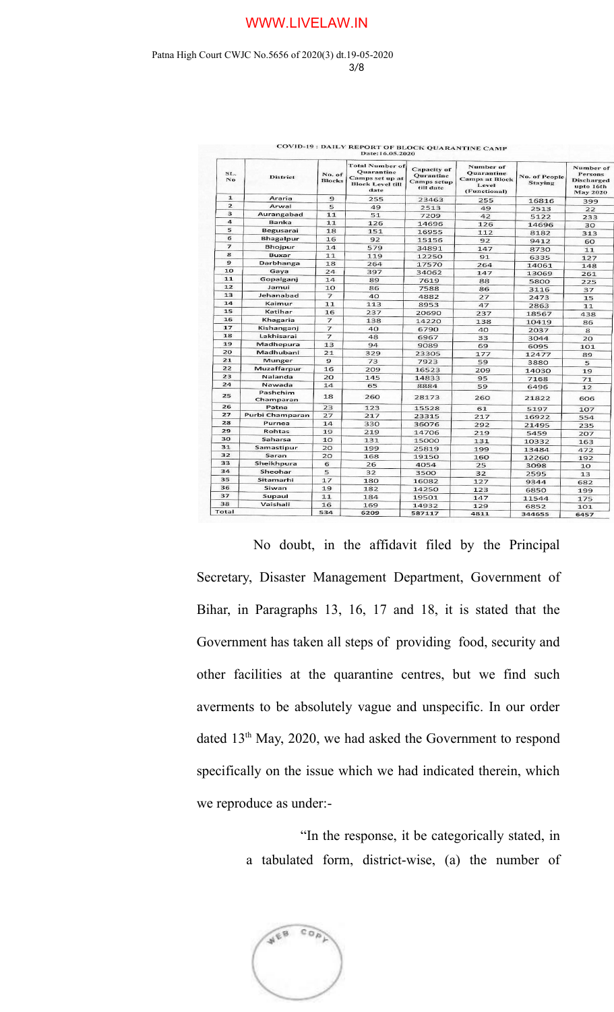#### Patna High Court CWJC No.5656 of 2020(3) dt.19-05-2020 3/8

|                |                       |                         | Date: 16.05.2020                                                                           |                                                      |                                                                                  |                                        |                                                                                  |
|----------------|-----------------------|-------------------------|--------------------------------------------------------------------------------------------|------------------------------------------------------|----------------------------------------------------------------------------------|----------------------------------------|----------------------------------------------------------------------------------|
| SL.<br>No.     | <b>District</b>       | No. of<br><b>Blocks</b> | <b>Total Number of</b><br>Quarantine<br>Camps set up at<br><b>Block Level till</b><br>date | Capacity of<br>Qurantine<br>Camps setup<br>till date | Number of<br><b>Quarantine</b><br><b>Camps at Block</b><br>Level<br>(Functional) | <b>No. of People</b><br><b>Staying</b> | Number of<br><b>Persons</b><br><b>Discharged</b><br>upto 16th<br><b>May 2020</b> |
| $\mathbf{1}$   | Araria                | 9                       | 255                                                                                        | 23463                                                | 255                                                                              | 16816                                  | 399                                                                              |
| $\overline{2}$ | Arwal                 | 5                       | 49                                                                                         | 2513                                                 | 49                                                                               | 2513                                   | 22                                                                               |
| 3              | Aurangabad            | 11                      | 51                                                                                         | 7209                                                 | 42                                                                               | 5122                                   | 233                                                                              |
| $\overline{a}$ | <b>Banka</b>          | 11                      | 126                                                                                        | 14696                                                | 126                                                                              | 14696                                  | 30                                                                               |
| 5              | Begusarai             | 18                      | 151                                                                                        | 16955                                                | 112                                                                              | 8182                                   | 313                                                                              |
| 6              | <b>Bhagalpur</b>      | 16                      | 92                                                                                         | 15156                                                | 92                                                                               | 9412                                   | 60                                                                               |
| $\overline{ }$ | <b>Bhojpur</b>        | 14                      | 579                                                                                        | 34891                                                | 147                                                                              | 8730                                   | 11                                                                               |
| 8              | <b>Buxar</b>          | 11                      | 119                                                                                        | 12250                                                | 91                                                                               | 6335                                   | 127                                                                              |
| $\mathbf{9}$   | Darbhanga             | 18                      | 264                                                                                        | 17570                                                | 264                                                                              | 14061                                  | 148                                                                              |
| 10             | Gaya                  | 24                      | 397                                                                                        | 34062                                                | 147                                                                              | 13069                                  | 261                                                                              |
| 11             | Gopalganj             | 14                      | 89                                                                                         | 7619                                                 | 88                                                                               | 5800                                   | 225                                                                              |
| 12             | Jamui                 | 10                      | 86                                                                                         | 7588                                                 | 86                                                                               | 3116                                   | 37                                                                               |
| 13             | Jehanabad             | $\overline{7}$          | 40                                                                                         | 4882                                                 | 27                                                                               | 2473                                   | 15                                                                               |
| 14             | Kaimur                | 11                      | 113                                                                                        | 8953                                                 | 47                                                                               | 2863                                   | 11                                                                               |
| 15             | Katihar               | 16                      | 237                                                                                        | 20690                                                | 237                                                                              | 18567                                  | 438                                                                              |
| 16             | Khagaria              | $\overline{7}$          | 138                                                                                        | 14220                                                | 138                                                                              | 10419                                  | 86                                                                               |
| 17             | Kishanganj            | $\overline{7}$          | 40                                                                                         | 6790                                                 | 40                                                                               | 2037                                   | 8                                                                                |
| 18             | Lakhisarai            | 7                       | 48                                                                                         | 6967                                                 | 33                                                                               | 3044                                   | 20                                                                               |
| 19             | Madhepura             | 13                      | 94                                                                                         | 9089                                                 | 69                                                                               | 6095                                   | 101                                                                              |
| 20             | Madhubani             | 21                      | 329                                                                                        | 23305                                                | 177                                                                              | 12477                                  | 89                                                                               |
| 21             | <b>Munger</b>         | 9                       | 73                                                                                         | 7923                                                 | 59                                                                               | 3880                                   | 5                                                                                |
| 22             | Muzaffarpur           | 16                      | 209                                                                                        | 16523                                                | 209                                                                              | 14030                                  | 19                                                                               |
| 23             | Nalanda               | 20                      | 145                                                                                        | 14833                                                | 95                                                                               | 7168                                   | 71                                                                               |
| 24             | Nawada                | 14                      | 65                                                                                         | 8884                                                 | 59                                                                               | 6496                                   | 12                                                                               |
| 25             | Pashchim<br>Champaran | 18                      | 260                                                                                        | 28173                                                | 260                                                                              | 21822                                  | 606                                                                              |
| 26             | Patna                 | 23                      | 123                                                                                        | 15528                                                | 61                                                                               | 5197                                   | 107                                                                              |
| 27             | Purbi Champaran       | 27                      | 217                                                                                        | 23315                                                | 217                                                                              | 16922                                  | 554                                                                              |
| 28             | Purnea                | 14                      | 330                                                                                        | 36076                                                | 292                                                                              | 21495                                  | 235                                                                              |
| 29             | Rohtas                | 19                      | 219                                                                                        | 14706                                                | 219                                                                              | 5459                                   | 207                                                                              |
| 30             | Saharsa               | 10                      | 131                                                                                        | 15000                                                | 131                                                                              | 10332                                  | 163                                                                              |
| 31             | Samastipur            | 20                      | 199                                                                                        | 25819                                                | 199                                                                              | 13484                                  | 472                                                                              |
| 32             | Saran                 | 20                      | 168                                                                                        | 19150                                                | 160                                                                              | 12260                                  | 192                                                                              |
| 33             | Sheikhpura            | 6                       | 26                                                                                         | 4054                                                 | 25                                                                               | 3098                                   | 10                                                                               |
| 34             | Sheohar               | 5                       | 32                                                                                         | 3500                                                 | 32                                                                               | 2595                                   | 13                                                                               |
| 35             | Sitamarhi             | 17                      | 180                                                                                        | 16082                                                | 127                                                                              | 9344                                   | 682                                                                              |
| 36             | Siwan                 | 19                      | 182                                                                                        | 14250                                                | 123                                                                              | 6850                                   | 199                                                                              |
| 37             | Supaul                | 11                      | 184                                                                                        | 19501                                                | 147                                                                              | 11544                                  | 175                                                                              |
| 38             | Vaishali              | 16                      | 169                                                                                        | 14932                                                | 129                                                                              | 6852                                   | 101                                                                              |
| Total          |                       | 534                     | 6209                                                                                       | 587117                                               | 1011                                                                             | 200000                                 | $  -$                                                                            |

**DAILY REPORT OF BLOCK OUARANTINE CA** 

No doubt, in the affidavit filed by the Principal Secretary, Disaster Management Department, Government of Bihar, in Paragraphs 13, 16, 17 and 18, it is stated that the Government has taken all steps of providing food, security and other facilities at the quarantine centres, but we find such averments to be absolutely vague and unspecific. In our order dated  $13<sup>th</sup>$  May, 2020, we had asked the Government to respond specifically on the issue which we had indicated therein, which we reproduce as under:-

> "In the response, it be categorically stated, in a tabulated form, district-wise, (a) the number of

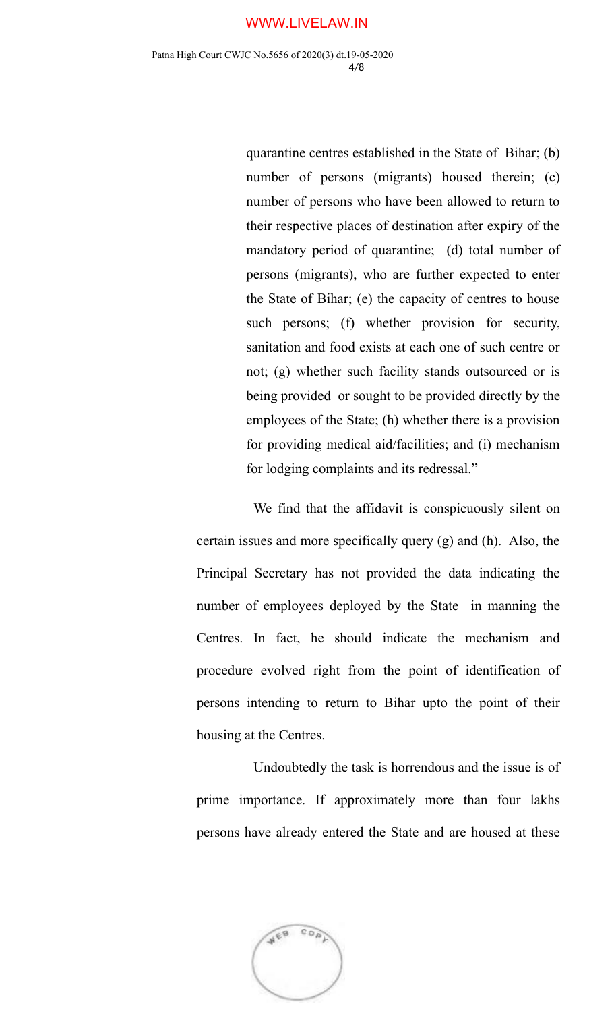### WWW.LIVELAW.IN

quarantine centres established in the State of Bihar; (b) number of persons (migrants) housed therein; (c) number of persons who have been allowed to return to their respective places of destination after expiry of the mandatory period of quarantine; (d) total number of persons (migrants), who are further expected to enter the State of Bihar; (e) the capacity of centres to house such persons; (f) whether provision for security, sanitation and food exists at each one of such centre or not; (g) whether such facility stands outsourced or is being provided or sought to be provided directly by the employees of the State; (h) whether there is a provision for providing medical aid/facilities; and (i) mechanism for lodging complaints and its redressal."

We find that the affidavit is conspicuously silent on certain issues and more specifically query (g) and (h). Also, the Principal Secretary has not provided the data indicating the number of employees deployed by the State in manning the Centres. In fact, he should indicate the mechanism and procedure evolved right from the point of identification of persons intending to return to Bihar upto the point of their housing at the Centres.

Undoubtedly the task is horrendous and the issue is of prime importance. If approximately more than four lakhs persons have already entered the State and are housed at these

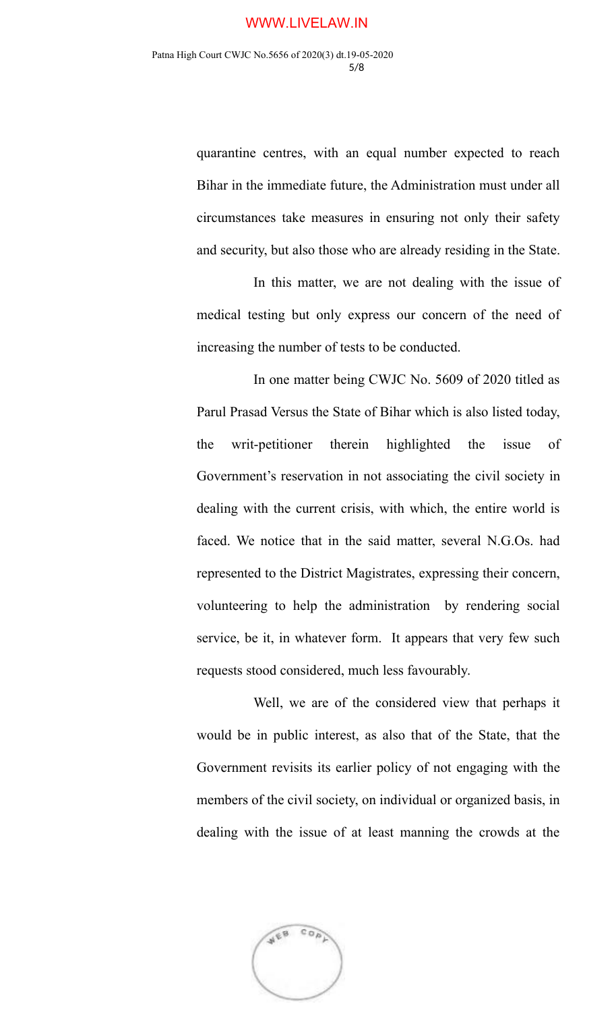quarantine centres, with an equal number expected to reach Bihar in the immediate future, the Administration must under all circumstances take measures in ensuring not only their safety and security, but also those who are already residing in the State.

In this matter, we are not dealing with the issue of medical testing but only express our concern of the need of increasing the number of tests to be conducted.

In one matter being CWJC No. 5609 of 2020 titled as Parul Prasad Versus the State of Bihar which is also listed today, the writ-petitioner therein highlighted the issue of Government's reservation in not associating the civil society in dealing with the current crisis, with which, the entire world is faced. We notice that in the said matter, several N.G.Os. had represented to the District Magistrates, expressing their concern, volunteering to help the administration by rendering social service, be it, in whatever form. It appears that very few such requests stood considered, much less favourably.

Well, we are of the considered view that perhaps it would be in public interest, as also that of the State, that the Government revisits its earlier policy of not engaging with the members of the civil society, on individual or organized basis, in dealing with the issue of at least manning the crowds at the

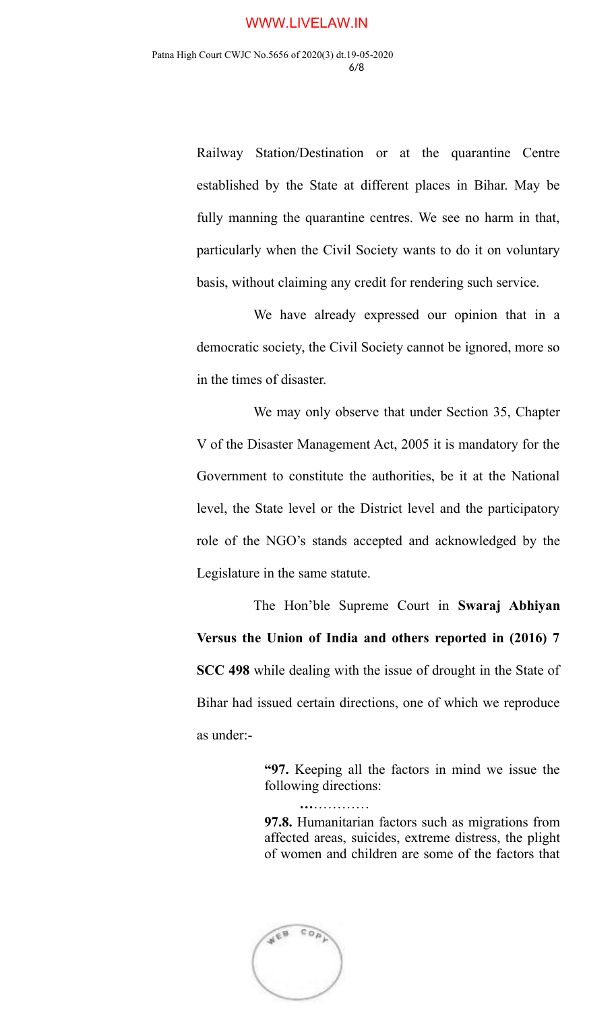Railway Station/Destination or at the quarantine Centre established by the State at different places in Bihar. May be fully manning the quarantine centres. We see no harm in that, particularly when the Civil Society wants to do it on voluntary basis, without claiming any credit for rendering such service.

We have already expressed our opinion that in a democratic society, the Civil Society cannot be ignored, more so in the times of disaster.

We may only observe that under Section 35, Chapter V of the Disaster Management Act, 2005 it is mandatory for the Government to constitute the authorities, be it at the National level, the State level or the District level and the participatory role of the NGO's stands accepted and acknowledged by the Legislature in the same statute.

The Hon'ble Supreme Court in **Swaraj Abhiyan Versus the Union of India and others reported in (2016) 7 SCC 498** while dealing with the issue of drought in the State of Bihar had issued certain directions, one of which we reproduce as under:-

> **"97.** Keeping all the factors in mind we issue the following directions:

 **…**…………

**97.8.** Humanitarian factors such as migrations from affected areas, suicides, extreme distress, the plight of women and children are some of the factors that

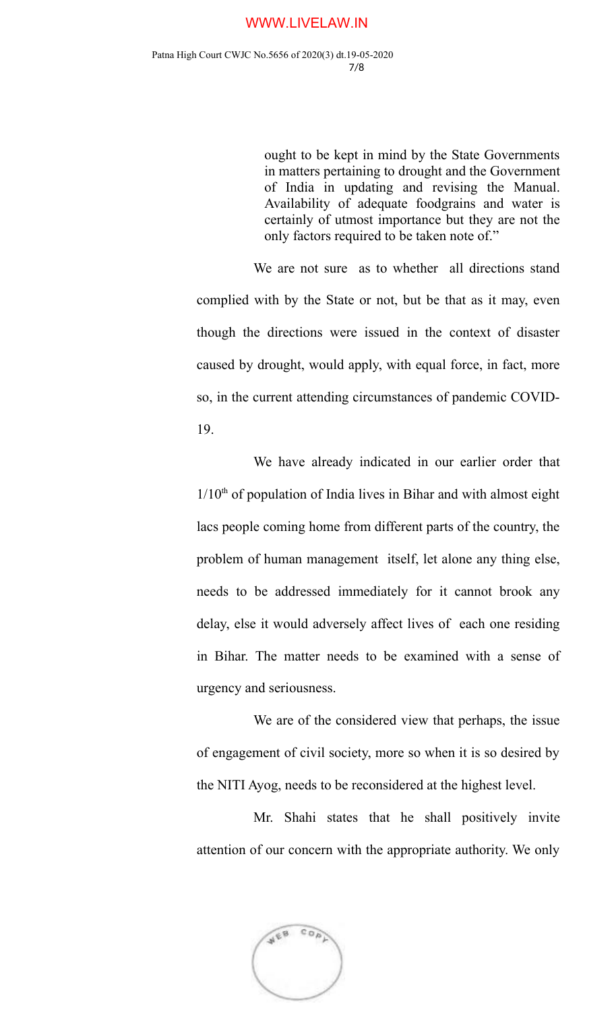### WWW.LIVELAW.IN

ought to be kept in mind by the State Governments in matters pertaining to drought and the Government of India in updating and revising the Manual. Availability of adequate foodgrains and water is certainly of utmost importance but they are not the only factors required to be taken note of."

We are not sure as to whether all directions stand complied with by the State or not, but be that as it may, even though the directions were issued in the context of disaster caused by drought, would apply, with equal force, in fact, more so, in the current attending circumstances of pandemic COVID-19.

We have already indicated in our earlier order that  $1/10<sup>th</sup>$  of population of India lives in Bihar and with almost eight lacs people coming home from different parts of the country, the problem of human management itself, let alone any thing else, needs to be addressed immediately for it cannot brook any delay, else it would adversely affect lives of each one residing in Bihar. The matter needs to be examined with a sense of urgency and seriousness.

We are of the considered view that perhaps, the issue of engagement of civil society, more so when it is so desired by the NITI Ayog, needs to be reconsidered at the highest level.

Mr. Shahi states that he shall positively invite attention of our concern with the appropriate authority. We only